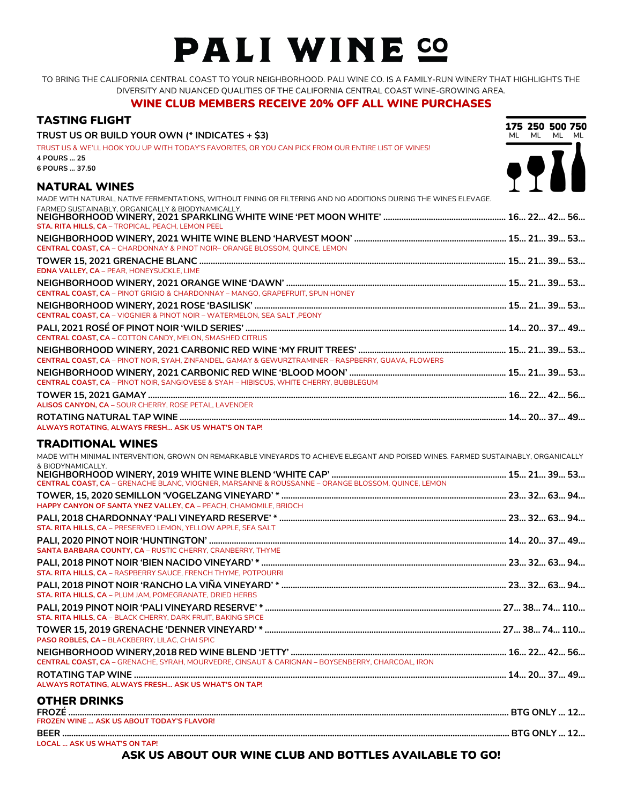# PALI WINE SO

TO BRING THE CALIFORNIA CENTRAL COAST TO YOUR NEIGHBORHOOD. PALI WINE CO. IS A FAMILY-RUN WINERY THAT HIGHLIGHTS THE DIVERSITY AND NUANCED QUALITIES OF THE CALIFORNIA CENTRAL COAST WINE-GROWING AREA.

#### WINE CLUB MEMBERS RECEIVE 20% OFF ALL WINE PURCHASES

| <b>TASTING FLIGHT</b>                                                                                                                                   | 175 250 500 750 |             |  |
|---------------------------------------------------------------------------------------------------------------------------------------------------------|-----------------|-------------|--|
| TRUST US OR BUILD YOUR OWN (* INDICATES + \$3)                                                                                                          |                 | ML ML ML ML |  |
| TRUST US & WE'LL HOOK YOU UP WITH TODAY'S FAVORITES, OR YOU CAN PICK FROM OUR ENTIRE LIST OF WINES!<br>4 POURS  25                                      |                 |             |  |
| 6 POURS  37.50                                                                                                                                          |                 |             |  |
| <b>NATURAL WINES</b>                                                                                                                                    | 7711            |             |  |
| MADE WITH NATURAL, NATIVE FERMENTATIONS, WITHOUT FINING OR FILTERING AND NO ADDITIONS DURING THE WINES ELEVAGE.                                         |                 |             |  |
| FARMED SUSTAINABLY, ORGANICALLY & BIODYNAMICALLY.<br>STA. RITA HILLS, CA - TROPICAL, PEACH, LEMON PEEL                                                  |                 |             |  |
| <b>CENTRAL COAST, CA - CHARDONNAY &amp; PINOT NOIR- ORANGE BLOSSOM, OUINCE, LEMON</b>                                                                   |                 |             |  |
|                                                                                                                                                         |                 |             |  |
| EDNA VALLEY, CA - PEAR, HONEYSUCKLE, LIME                                                                                                               |                 |             |  |
|                                                                                                                                                         |                 |             |  |
| CENTRAL COAST, CA - PINOT GRIGIO & CHARDONNAY - MANGO, GRAPEFRUIT, SPUN HONEY                                                                           |                 |             |  |
|                                                                                                                                                         |                 |             |  |
| CENTRAL COAST, CA - VIOGNIER & PINOT NOIR - WATERMELON, SEA SALT, PEONY                                                                                 |                 |             |  |
| <b>CENTRAL COAST, CA - COTTON CANDY, MELON, SMASHED CITRUS</b>                                                                                          |                 |             |  |
|                                                                                                                                                         |                 |             |  |
| CENTRAL COAST, CA - PINOT NOIR, SYAH, ZINFANDEL, GAMAY & GEWURZTRAMINER - RASPBERRY, GUAVA, FLOWERS                                                     |                 |             |  |
|                                                                                                                                                         |                 |             |  |
| CENTRAL COAST, CA - PINOT NOIR, SANGIOVESE & SYAH - HIBISCUS, WHITE CHERRY, BUBBLEGUM                                                                   |                 |             |  |
|                                                                                                                                                         |                 |             |  |
| ALISOS CANYON, CA - SOUR CHERRY, ROSE PETAL, LAVENDER                                                                                                   |                 |             |  |
|                                                                                                                                                         |                 |             |  |
| ALWAYS ROTATING, ALWAYS FRESH ASK US WHAT'S ON TAP!                                                                                                     |                 |             |  |
|                                                                                                                                                         |                 |             |  |
|                                                                                                                                                         |                 |             |  |
| <b>TRADITIONAL WINES</b>                                                                                                                                |                 |             |  |
| MADE WITH MINIMAL INTERVENTION, GROWN ON REMARKABLE VINEYARDS TO ACHIEVE ELEGANT AND POISED WINES. FARMED SUSTAINABLY, ORGANICALLY<br>& BIODYNAMICALLY. |                 |             |  |
| CENTRAL COAST, CA - GRENACHE BLANC, VIOGNIER, MARSANNE & ROUSSANNE - ORANGE BLOSSOM, QUINCE, LEMON                                                      |                 |             |  |
|                                                                                                                                                         |                 |             |  |
| HAPPY CANYON OF SANTA YNEZ VALLEY, CA - PEACH, CHAMOMILE, BRIOCH                                                                                        |                 |             |  |
| STA. RITA HILLS, CA - PRESERVED LEMON, YELLOW APPLE, SEA SALT                                                                                           |                 |             |  |
|                                                                                                                                                         |                 |             |  |
| SANTA BARBARA COUNTY, CA - RUSTIC CHERRY, CRANBERRY, THYME                                                                                              |                 |             |  |
|                                                                                                                                                         |                 |             |  |
| STA. RITA HILLS, CA - RASPBERRY SAUCE, FRENCH THYME, POTPOURRI                                                                                          |                 |             |  |
| STA. RITA HILLS, CA - PLUM JAM, POMEGRANATE, DRIED HERBS                                                                                                |                 |             |  |
| STA. RITA HILLS, CA - BLACK CHERRY, DARK FRUIT, BAKING SPICE                                                                                            |                 |             |  |
|                                                                                                                                                         |                 |             |  |
| PASO ROBLES, CA - BLACKBERRY, LILAC, CHAI SPIC                                                                                                          |                 |             |  |
| CENTRAL COAST, CA - GRENACHE, SYRAH, MOURVEDRE, CINSAUT & CARIGNAN - BOYSENBERRY, CHARCOAL. IRON                                                        |                 |             |  |
|                                                                                                                                                         |                 |             |  |
| ALWAYS ROTATING, ALWAYS FRESH ASK US WHAT'S ON TAP!                                                                                                     |                 |             |  |
| <b>OTHER DRINKS</b>                                                                                                                                     |                 |             |  |
|                                                                                                                                                         |                 |             |  |
| <b>FROZEN WINE  ASK US ABOUT TODAY'S FLAVOR!</b>                                                                                                        |                 |             |  |

### ASK US ABOUT OUR WINE CLUB AND BOTTLES AVAILABLE TO GO!